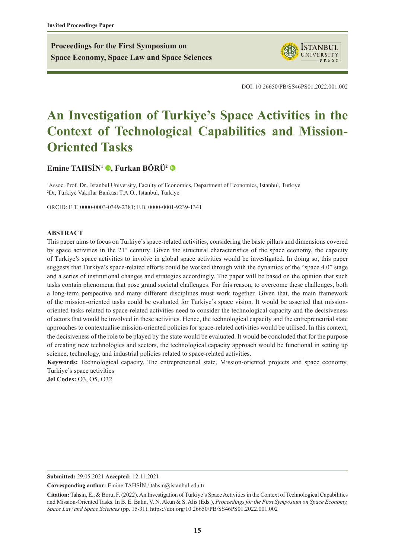**Proceedings for the First Symposium on Space Economy, Space Law and Space Sciences**



DOI: 10.26650/PB/SS46PS01.2022.001.002

# **An Investigation of Turkiye's Space Activities in the Context of Technological Capabilities and Mission-Oriented Tasks**

**[Emine TAHSİN](https://orcid.org/0000-0003-0349-2381)<sup>1</sup> <b>◎**, Furkan BÖRÜ<sup>2</sup> ◎

<sup>1</sup>Assoc. Prof. Dr., Istanbul University, Faculty of Economics, Department of Economics, Istanbul, Turkiye 2 Dr, Türkiye Vakıflar Bankası T.A.O., Istanbul, Turkiye

ORCID: E.T. 0000-0003-0349-2381; F.B. 0000-0001-9239-1341

#### **ABSTRACT**

This paper aims to focus on Turkiye's space-related activities, considering the basic pillars and dimensions covered by space activities in the 21<sup>st</sup> century. Given the structural characteristics of the space economy, the capacity of Turkiye's space activities to involve in global space activities would be investigated. In doing so, this paper suggests that Turkiye's space-related efforts could be worked through with the dynamics of the "space 4.0" stage and a series of institutional changes and strategies accordingly. The paper will be based on the opinion that such tasks contain phenomena that pose grand societal challenges. For this reason, to overcome these challenges, both a long-term perspective and many different disciplines must work together. Given that, the main framework of the mission-oriented tasks could be evaluated for Turkiye's space vision. It would be asserted that missionoriented tasks related to space-related activities need to consider the technological capacity and the decisiveness of actors that would be involved in these activities. Hence, the technological capacity and the entrepreneurial state approaches to contextualise mission-oriented policies for space-related activities would be utilised. In this context, the decisiveness of the role to be played by the state would be evaluated. It would be concluded that for the purpose of creating new technologies and sectors, the technological capacity approach would be functional in setting up science, technology, and industrial policies related to space-related activities.

**Keywords:** Technological capacity, The entrepreneurial state, Mission-oriented projects and space economy, Turkiye's space activities

**Jel Codes:** O3, O5, O32

**Submitted:** 29.05.2021 **Accepted:** 12.11.2021

**Corresponding author:** Emine TAHSİN / tahsin@istanbul.edu.tr

**Citation:** Tahsin, E., & Boru, F. (2022). An Investigation of Turkiye's Space Activities in the Context of Technological Capabilities and Mission-Oriented Tasks. In B. E. Balin, V. N. Akun & S. Alis (Eds.), *Proceedings for the First Symposium on Space Economy, Space Law and Space Sciences* (pp. 15-31). https://doi.org/10.26650/PB/SS46PS01.2022.001.002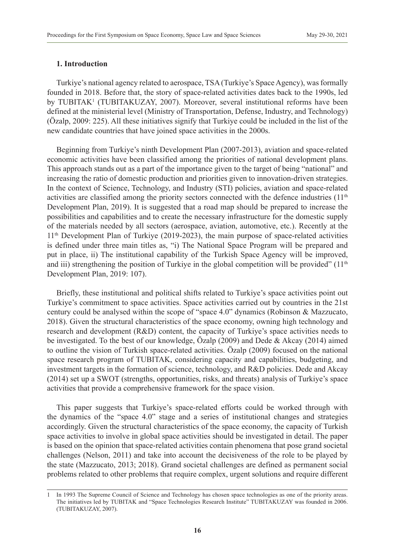## **1. Introduction**

Turkiye's national agency related to aerospace, TSA (Turkiye's Space Agency), was formally founded in 2018. Before that, the story of space-related activities dates back to the 1990s, led by TUBITAK<sup>1</sup> (TUBITAKUZAY, 2007). Moreover, several institutional reforms have been defined at the ministerial level (Ministry of Transportation, Defense, Industry, and Technology) (Özalp, 2009: 225). All these initiatives signify that Turkiye could be included in the list of the new candidate countries that have joined space activities in the 2000s.

Beginning from Turkiye's ninth Development Plan (2007-2013), aviation and space-related economic activities have been classified among the priorities of national development plans. This approach stands out as a part of the importance given to the target of being "national" and increasing the ratio of domestic production and priorities given to innovation-driven strategies. In the context of Science, Technology, and Industry (STI) policies, aviation and space-related activities are classified among the priority sectors connected with the defence industries  $(11<sup>th</sup>$ Development Plan, 2019). It is suggested that a road map should be prepared to increase the possibilities and capabilities and to create the necessary infrastructure for the domestic supply of the materials needed by all sectors (aerospace, aviation, automotive, etc.). Recently at the 11th Development Plan of Turkiye (2019-2023), the main purpose of space-related activities is defined under three main titles as, "i) The National Space Program will be prepared and put in place, ii) The institutional capability of the Turkish Space Agency will be improved, and iii) strengthening the position of Turkiye in the global competition will be provided"  $(11<sup>th</sup>$ Development Plan, 2019: 107).

Briefly, these institutional and political shifts related to Turkiye's space activities point out Turkiye's commitment to space activities. Space activities carried out by countries in the 21st century could be analysed within the scope of "space 4.0" dynamics (Robinson & Mazzucato, 2018). Given the structural characteristics of the space economy, owning high technology and research and development (R&D) content, the capacity of Turkiye's space activities needs to be investigated. To the best of our knowledge, Özalp (2009) and Dede & Akcay (2014) aimed to outline the vision of Turkish space-related activities. Özalp (2009) focused on the national space research program of TUBITAK, considering capacity and capabilities, budgeting, and investment targets in the formation of science, technology, and R&D policies. Dede and Akcay (2014) set up a SWOT (strengths, opportunities, risks, and threats) analysis of Turkiye's space activities that provide a comprehensive framework for the space vision.

This paper suggests that Turkiye's space-related efforts could be worked through with the dynamics of the "space 4.0" stage and a series of institutional changes and strategies accordingly. Given the structural characteristics of the space economy, the capacity of Turkish space activities to involve in global space activities should be investigated in detail. The paper is based on the opinion that space-related activities contain phenomena that pose grand societal challenges (Nelson, 2011) and take into account the decisiveness of the role to be played by the state (Mazzucato, 2013; 2018). Grand societal challenges are defined as permanent social problems related to other problems that require complex, urgent solutions and require different

<sup>1</sup> In 1993 The Supreme Council of Science and Technology has chosen space technologies as one of the priority areas. The initiatives led by TUBITAK and "Space Technologies Research Institute" TUBITAKUZAY was founded in 2006. (TUBITAKUZAY, 2007).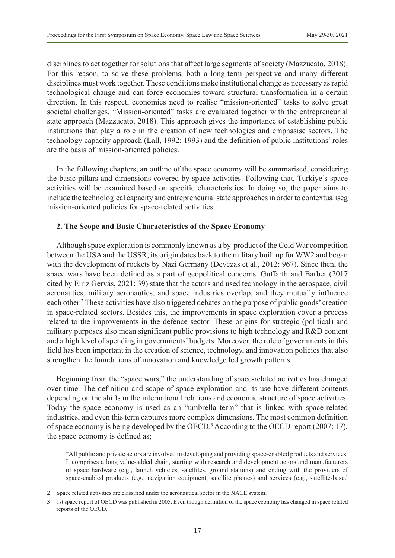disciplines to act together for solutions that affect large segments of society (Mazzucato, 2018). For this reason, to solve these problems, both a long-term perspective and many different disciplines must work together. These conditions make institutional change as necessary as rapid technological change and can force economies toward structural transformation in a certain direction. In this respect, economies need to realise "mission-oriented" tasks to solve great societal challenges. "Mission-oriented" tasks are evaluated together with the entrepreneurial state approach (Mazzucato, 2018). This approach gives the importance of establishing public institutions that play a role in the creation of new technologies and emphasise sectors. The technology capacity approach (Lall, 1992; 1993) and the definition of public institutions' roles are the basis of mission-oriented policies.

In the following chapters, an outline of the space economy will be summarised, considering the basic pillars and dimensions covered by space activities. Following that, Turkiye's space activities will be examined based on specific characteristics. In doing so, the paper aims to include the technological capacity and entrepreneurial state approaches in order to contextualiseg mission-oriented policies for space-related activities.

## **2. The Scope and Basic Characteristics of the Space Economy**

Although space exploration is commonly known as a by-product of the Cold War competition between the USA and the USSR, its origin dates back to the military built up for WW2 and began with the development of rockets by Nazi Germany (Devezas et al., 2012: 967). Since then, the space wars have been defined as a part of geopolitical concerns. Guffarth and Barber (2017 cited by Eiriz Gervás, 2021: 39) state that the actors and used technology in the aerospace, civil aeronautics, military aeronautics, and space industries overlap, and they mutually influence each other.<sup>2</sup> These activities have also triggered debates on the purpose of public goods' creation in space-related sectors. Besides this, the improvements in space exploration cover a process related to the improvements in the defence sector. These origins for strategic (political) and military purposes also mean significant public provisions to high technology and R&D content and a high level of spending in governments' budgets. Moreover, the role of governments in this field has been important in the creation of science, technology, and innovation policies that also strengthen the foundations of innovation and knowledge led growth patterns.

Beginning from the "space wars," the understanding of space-related activities has changed over time. The definition and scope of space exploration and its use have different contents depending on the shifts in the international relations and economic structure of space activities. Today the space economy is used as an "umbrella term" that is linked with space-related industries, and even this term captures more complex dimensions. The most common definition of space economy is being developed by the OECD.<sup>3</sup> According to the OECD report (2007: 17), the space economy is defined as;

"All public and private actors are involved in developing and providing space-enabled products and services. It comprises a long value-added chain, starting with research and development actors and manufacturers of space hardware (e.g., launch vehicles, satellites, ground stations) and ending with the providers of space-enabled products (e.g., navigation equipment, satellite phones) and services (e.g., satellite-based

<sup>2</sup> Space related activities are classified under the aeronautical sector in the NACE system.

<sup>3</sup> 1st space report of OECD was published in 2005. Even though definition of the space economy has changed in space related reports of the OECD.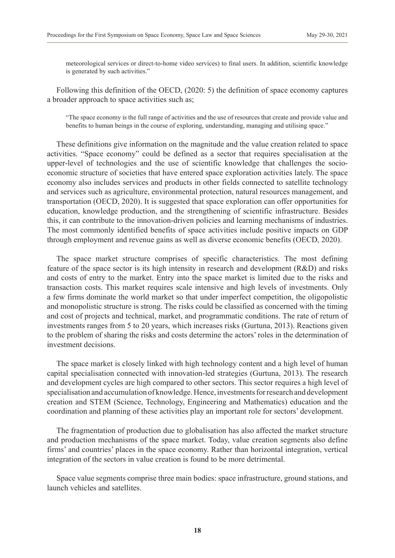meteorological services or direct-to-home video services) to final users. In addition, scientific knowledge is generated by such activities."

Following this definition of the OECD, (2020: 5) the definition of space economy captures a broader approach to space activities such as;

"The space economy is the full range of activities and the use of resources that create and provide value and benefits to human beings in the course of exploring, understanding, managing and utilising space."

These definitions give information on the magnitude and the value creation related to space activities. "Space economy" could be defined as a sector that requires specialisation at the upper-level of technologies and the use of scientific knowledge that challenges the socioeconomic structure of societies that have entered space exploration activities lately. The space economy also includes services and products in other fields connected to satellite technology and services such as agriculture, environmental protection, natural resources management, and transportation (OECD, 2020). It is suggested that space exploration can offer opportunities for education, knowledge production, and the strengthening of scientific infrastructure. Besides this, it can contribute to the innovation-driven policies and learning mechanisms of industries. The most commonly identified benefits of space activities include positive impacts on GDP through employment and revenue gains as well as diverse economic benefits (OECD, 2020).

The space market structure comprises of specific characteristics. The most defining feature of the space sector is its high intensity in research and development (R&D) and risks and costs of entry to the market. Entry into the space market is limited due to the risks and transaction costs. This market requires scale intensive and high levels of investments. Only a few firms dominate the world market so that under imperfect competition, the oligopolistic and monopolistic structure is strong. The risks could be classified as concerned with the timing and cost of projects and technical, market, and programmatic conditions. The rate of return of investments ranges from 5 to 20 years, which increases risks (Gurtuna, 2013). Reactions given to the problem of sharing the risks and costs determine the actors' roles in the determination of investment decisions.

The space market is closely linked with high technology content and a high level of human capital specialisation connected with innovation-led strategies (Gurtuna, 2013). The research and development cycles are high compared to other sectors. This sector requires a high level of specialisation and accumulation of knowledge. Hence, investments for research and development creation and STEM (Science, Technology, Engineering and Mathematics) education and the coordination and planning of these activities play an important role for sectors' development.

The fragmentation of production due to globalisation has also affected the market structure and production mechanisms of the space market. Today, value creation segments also define firms' and countries' places in the space economy. Rather than horizontal integration, vertical integration of the sectors in value creation is found to be more detrimental.

Space value segments comprise three main bodies: space infrastructure, ground stations, and launch vehicles and satellites.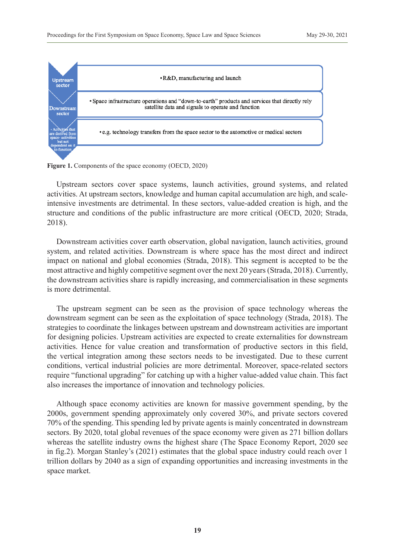

Figure 1. Components of the space economy (OECD, 2020)

Upstream sectors cover space systems, launch activities, ground systems, and related activities. At upstream sectors, knowledge and human capital accumulation are high, and scaleintensive investments are detrimental. In these sectors, value-added creation is high, and the structure and conditions of the public infrastructure are more critical (OECD, 2020; Strada, 2018).

Downstream activities cover earth observation, global navigation, launch activities, ground system, and related activities. Downstream is where space has the most direct and indirect impact on national and global economies (Strada, 2018). This segment is accepted to be the most attractive and highly competitive segment over the next 20 years (Strada, 2018). Currently, the downstream activities share is rapidly increasing, and commercialisation in these segments is more detrimental.

The upstream segment can be seen as the provision of space technology whereas the downstream segment can be seen as the exploitation of space technology (Strada, 2018). The strategies to coordinate the linkages between upstream and downstream activities are important for designing policies. Upstream activities are expected to create externalities for downstream activities. Hence for value creation and transformation of productive sectors in this field, the vertical integration among these sectors needs to be investigated. Due to these current conditions, vertical industrial policies are more detrimental. Moreover, space-related sectors require "functional upgrading" for catching up with a higher value-added value chain. This fact also increases the importance of innovation and technology policies.

Although space economy activities are known for massive government spending, by the 2000s, government spending approximately only covered 30%, and private sectors covered 70% of the spending. This spending led by private agents is mainly concentrated in downstream sectors. By 2020, total global revenues of the space economy were given as 271 billion dollars whereas the satellite industry owns the highest share (The Space Economy Report, 2020 see in fig.2). Morgan Stanley's (2021) estimates that the global space industry could reach over 1 trillion dollars by 2040 as a sign of expanding opportunities and increasing investments in the space market.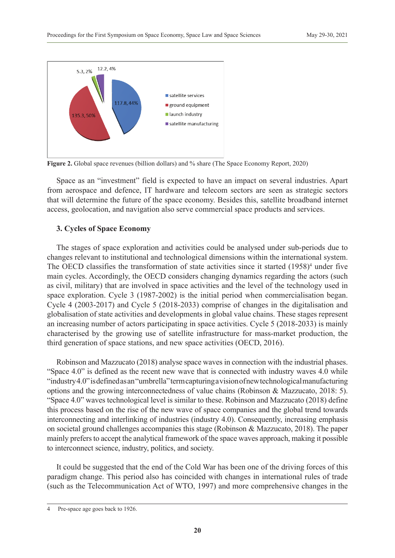

**Figure 2.** Global space revenues (billion dollars) and % share (The Space Economy Report, 2020)

Space as an "investment" field is expected to have an impact on several industries. Apart from aerospace and defence, IT hardware and telecom sectors are seen as strategic sectors that will determine the future of the space economy. Besides this, satellite broadband internet access, geolocation, and navigation also serve commercial space products and services.

### **3. Cycles of Space Economy**

The stages of space exploration and activities could be analysed under sub-periods due to changes relevant to institutional and technological dimensions within the international system. The OECD classifies the transformation of state activities since it started  $(1958)^4$  under five main cycles. Accordingly, the OECD considers changing dynamics regarding the actors (such as civil, military) that are involved in space activities and the level of the technology used in space exploration. Cycle 3 (1987-2002) is the initial period when commercialisation began. Cycle 4 (2003-2017) and Cycle 5 (2018-2033) comprise of changes in the digitalisation and globalisation of state activities and developments in global value chains. These stages represent an increasing number of actors participating in space activities. Cycle 5 (2018-2033) is mainly characterised by the growing use of satellite infrastructure for mass-market production, the third generation of space stations, and new space activities (OECD, 2016).

Robinson and Mazzucato (2018) analyse space waves in connection with the industrial phases. "Space 4.0" is defined as the recent new wave that is connected with industry waves 4.0 while "industry 4.0" is defined as an "umbrella" term capturing a vision of new technological manufacturing options and the growing interconnectedness of value chains (Robinson & Mazzucato, 2018: 5). "Space 4.0" waves technological level is similar to these. Robinson and Mazzucato (2018) define this process based on the rise of the new wave of space companies and the global trend towards interconnecting and interlinking of industries (industry 4.0). Consequently, increasing emphasis on societal ground challenges accompanies this stage (Robinson & Mazzucato, 2018). The paper mainly prefers to accept the analytical framework of the space waves approach, making it possible to interconnect science, industry, politics, and society.

It could be suggested that the end of the Cold War has been one of the driving forces of this paradigm change. This period also has coincided with changes in international rules of trade (such as the Telecommunication Act of WTO, 1997) and more comprehensive changes in the

<sup>4</sup> Pre-space age goes back to 1926.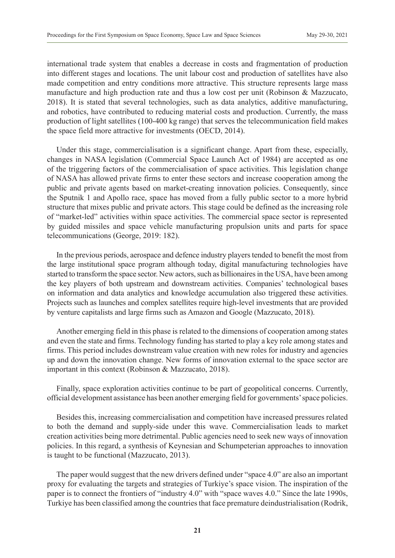international trade system that enables a decrease in costs and fragmentation of production into different stages and locations. The unit labour cost and production of satellites have also made competition and entry conditions more attractive. This structure represents large mass manufacture and high production rate and thus a low cost per unit (Robinson & Mazzucato, 2018). It is stated that several technologies, such as data analytics, additive manufacturing, and robotics, have contributed to reducing material costs and production. Currently, the mass production of light satellites (100-400 kg range) that serves the telecommunication field makes the space field more attractive for investments (OECD, 2014).

Under this stage, commercialisation is a significant change. Apart from these, especially, changes in NASA legislation (Commercial Space Launch Act of 1984) are accepted as one of the triggering factors of the commercialisation of space activities. This legislation change of NASA has allowed private firms to enter these sectors and increase cooperation among the public and private agents based on market-creating innovation policies. Consequently, since the Sputnik 1 and Apollo race, space has moved from a fully public sector to a more hybrid structure that mixes public and private actors. This stage could be defined as the increasing role of "market-led" activities within space activities. The commercial space sector is represented by guided missiles and space vehicle manufacturing propulsion units and parts for space telecommunications (George, 2019: 182).

In the previous periods, aerospace and defence industry players tended to benefit the most from the large institutional space program although today, digital manufacturing technologies have started to transform the space sector. New actors, such as billionaires in the USA, have been among the key players of both upstream and downstream activities. Companies' technological bases on information and data analytics and knowledge accumulation also triggered these activities. Projects such as launches and complex satellites require high-level investments that are provided by venture capitalists and large firms such as Amazon and Google (Mazzucato, 2018).

Another emerging field in this phase is related to the dimensions of cooperation among states and even the state and firms. Technology funding has started to play a key role among states and firms. This period includes downstream value creation with new roles for industry and agencies up and down the innovation change. New forms of innovation external to the space sector are important in this context (Robinson & Mazzucato, 2018).

Finally, space exploration activities continue to be part of geopolitical concerns. Currently, official development assistance has been another emerging field for governments' space policies.

Besides this, increasing commercialisation and competition have increased pressures related to both the demand and supply-side under this wave. Commercialisation leads to market creation activities being more detrimental. Public agencies need to seek new ways of innovation policies. In this regard, a synthesis of Keynesian and Schumpeterian approaches to innovation is taught to be functional (Mazzucato, 2013).

The paper would suggest that the new drivers defined under "space 4.0" are also an important proxy for evaluating the targets and strategies of Turkiye's space vision. The inspiration of the paper is to connect the frontiers of "industry 4.0" with "space waves 4.0." Since the late 1990s, Turkiye has been classified among the countries that face premature deindustrialisation (Rodrik,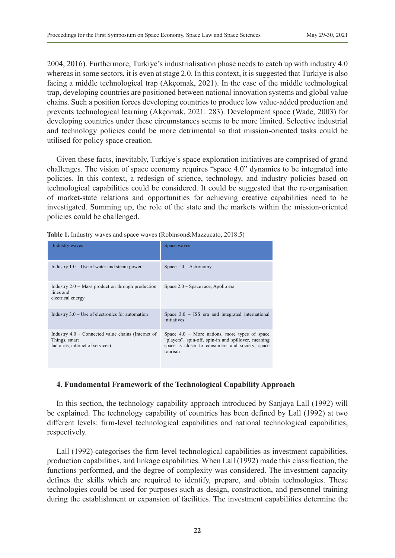2004, 2016). Furthermore, Turkiye's industrialisation phase needs to catch up with industry 4.0 whereas in some sectors, it is even at stage 2.0. In this context, it is suggested that Turkiye is also facing a middle technological trap (Akçomak, 2021). In the case of the middle technological trap, developing countries are positioned between national innovation systems and global value chains. Such a position forces developing countries to produce low value-added production and prevents technological learning (Akçomak, 2021: 283). Development space (Wade, 2003) for developing countries under these circumstances seems to be more limited. Selective industrial and technology policies could be more detrimental so that mission-oriented tasks could be utilised for policy space creation.

Given these facts, inevitably, Turkiye's space exploration initiatives are comprised of grand challenges. The vision of space economy requires "space 4.0" dynamics to be integrated into policies. In this context, a redesign of science, technology, and industry policies based on technological capabilities could be considered. It could be suggested that the re-organisation of market-state relations and opportunities for achieving creative capabilities need to be investigated. Summing up, the role of the state and the markets within the mission-oriented policies could be challenged.

|  |  |  | Table 1. Industry waves and space waves (Robinson&Mazzucato, 2018:5) |  |
|--|--|--|----------------------------------------------------------------------|--|
|--|--|--|----------------------------------------------------------------------|--|

| Industry waves                                                                                            | Space waves                                                                                                                                                          |  |
|-----------------------------------------------------------------------------------------------------------|----------------------------------------------------------------------------------------------------------------------------------------------------------------------|--|
| Industry $1.0 -$ Use of water and steam power                                                             | Space $1.0 -$ Astronomy                                                                                                                                              |  |
| Industry $2.0$ – Mass production through production<br>lines and<br>electrical energy                     | Space 2.0 – Space race, Apollo era                                                                                                                                   |  |
| Industry $3.0$ – Use of electronics for automation                                                        | Space $3.0$ – ISS era and integrated international<br>initiatives                                                                                                    |  |
| Industry $4.0$ – Connected value chains (Internet of<br>Things, smart<br>factories, internet of services) | Space $4.0$ – More nations, more types of space<br>"players", spin-off, spin-in and spillover, meaning<br>space is closer to consumers and society, space<br>tourism |  |

# **4. Fundamental Framework of the Technological Capability Approach**

In this section, the technology capability approach introduced by Sanjaya Lall (1992) will be explained. The technology capability of countries has been defined by Lall (1992) at two different levels: firm-level technological capabilities and national technological capabilities, respectively.

Lall (1992) categorises the firm-level technological capabilities as investment capabilities, production capabilities, and linkage capabilities. When Lall (1992) made this classification, the functions performed, and the degree of complexity was considered. The investment capacity defines the skills which are required to identify, prepare, and obtain technologies. These technologies could be used for purposes such as design, construction, and personnel training during the establishment or expansion of facilities. The investment capabilities determine the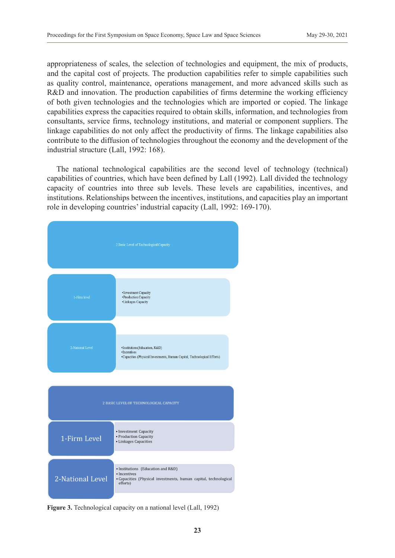appropriateness of scales, the selection of technologies and equipment, the mix of products, and the capital cost of projects. The production capabilities refer to simple capabilities such as quality control, maintenance, operations management, and more advanced skills such as R&D and innovation. The production capabilities of firms determine the working efficiency of both given technologies and the technologies which are imported or copied. The linkage capabilities express the capacities required to obtain skills, information, and technologies from consultants, service firms, technology institutions, and material or component suppliers. The linkage capabilities do not only affect the productivity of firms. The linkage capabilities also contribute to the diffusion of technologies throughout the economy and the development of the industrial structure (Lall, 1992: 168).

The national technological capabilities are the second level of technology (technical) capabilities of countries, which have been defined by Lall (1992). Lall divided the technology capacity of countries into three sub levels. These levels are capabilities, incentives, and institutions. Relationships between the incentives, institutions, and capacities play an important role in developing countries' industrial capacity (Lall, 1992: 169-170).



**Figure 3.** Technological capacity on a national level (Lall, 1992)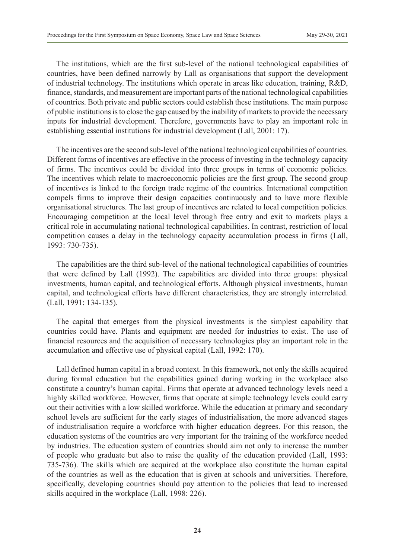The institutions, which are the first sub-level of the national technological capabilities of countries, have been defined narrowly by Lall as organisations that support the development of industrial technology. The institutions which operate in areas like education, training, R&D, finance, standards, and measurement are important parts of the national technological capabilities of countries. Both private and public sectors could establish these institutions. The main purpose of public institutions is to close the gap caused by the inability of markets to provide the necessary inputs for industrial development. Therefore, governments have to play an important role in establishing essential institutions for industrial development (Lall, 2001: 17).

The incentives are the second sub-level of the national technological capabilities of countries. Different forms of incentives are effective in the process of investing in the technology capacity of firms. The incentives could be divided into three groups in terms of economic policies. The incentives which relate to macroeconomic policies are the first group. The second group of incentives is linked to the foreign trade regime of the countries. International competition compels firms to improve their design capacities continuously and to have more flexible organisational structures. The last group of incentives are related to local competition policies. Encouraging competition at the local level through free entry and exit to markets plays a critical role in accumulating national technological capabilities. In contrast, restriction of local competition causes a delay in the technology capacity accumulation process in firms (Lall, 1993: 730-735).

The capabilities are the third sub-level of the national technological capabilities of countries that were defined by Lall (1992). The capabilities are divided into three groups: physical investments, human capital, and technological efforts. Although physical investments, human capital, and technological efforts have different characteristics, they are strongly interrelated. (Lall, 1991: 134-135).

The capital that emerges from the physical investments is the simplest capability that countries could have. Plants and equipment are needed for industries to exist. The use of financial resources and the acquisition of necessary technologies play an important role in the accumulation and effective use of physical capital (Lall, 1992: 170).

Lall defined human capital in a broad context. In this framework, not only the skills acquired during formal education but the capabilities gained during working in the workplace also constitute a country's human capital. Firms that operate at advanced technology levels need a highly skilled workforce. However, firms that operate at simple technology levels could carry out their activities with a low skilled workforce. While the education at primary and secondary school levels are sufficient for the early stages of industrialisation, the more advanced stages of industrialisation require a workforce with higher education degrees. For this reason, the education systems of the countries are very important for the training of the workforce needed by industries. The education system of countries should aim not only to increase the number of people who graduate but also to raise the quality of the education provided (Lall, 1993: 735-736). The skills which are acquired at the workplace also constitute the human capital of the countries as well as the education that is given at schools and universities. Therefore, specifically, developing countries should pay attention to the policies that lead to increased skills acquired in the workplace (Lall, 1998: 226).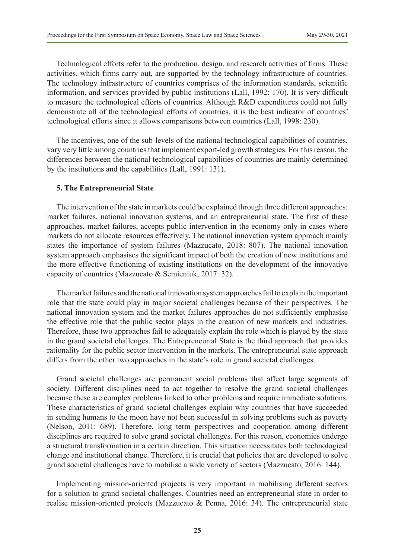Technological efforts refer to the production, design, and research activities of firms. These activities, which firms carry out, are supported by the technology infrastructure of countries. The technology infrastructure of countries comprises of the information standards, scientific information, and services provided by public institutions (Lall, 1992: 170). It is very difficult to measure the technological efforts of countries. Although R&D expenditures could not fully demonstrate all of the technological efforts of countries, it is the best indicator of countries' technological efforts since it allows comparisons between countries (Lall, 1998: 230).

The incentives, one of the sub-levels of the national technological capabilities of countries, vary very little among countries that implement export-led growth strategies. For this reason, the differences between the national technological capabilities of countries are mainly determined by the institutions and the capabilities (Lall, 1991: 131).

#### **5. The Entrepreneurial State**

The intervention of the state in markets could be explained through three different approaches: market failures, national innovation systems, and an entrepreneurial state. The first of these approaches, market failures, accepts public intervention in the economy only in cases where markets do not allocate resources effectively. The national innovation system approach mainly states the importance of system failures (Mazzucato, 2018: 807). The national innovation system approach emphasises the significant impact of both the creation of new institutions and the more effective functioning of existing institutions on the development of the innovative capacity of countries (Mazzucato & Semieniuk, 2017: 32).

The market failures and the national innovation system approaches fail to explain the important role that the state could play in major societal challenges because of their perspectives. The national innovation system and the market failures approaches do not sufficiently emphasise the effective role that the public sector plays in the creation of new markets and industries. Therefore, these two approaches fail to adequately explain the role which is played by the state in the grand societal challenges. The Entrepreneurial State is the third approach that provides rationality for the public sector intervention in the markets. The entrepreneurial state approach differs from the other two approaches in the state's role in grand societal challenges.

Grand societal challenges are permanent social problems that affect large segments of society. Different disciplines need to act together to resolve the grand societal challenges because these are complex problems linked to other problems and require immediate solutions. These characteristics of grand societal challenges explain why countries that have succeeded in sending humans to the moon have not been successful in solving problems such as poverty (Nelson, 2011: 689). Therefore, long term perspectives and cooperation among different disciplines are required to solve grand societal challenges. For this reason, economies undergo a structural transformation in a certain direction. This situation necessitates both technological change and institutional change. Therefore, it is crucial that policies that are developed to solve grand societal challenges have to mobilise a wide variety of sectors (Mazzucato, 2016: 144).

Implementing mission-oriented projects is very important in mobilising different sectors for a solution to grand societal challenges. Countries need an entrepreneurial state in order to realise mission-oriented projects (Mazzucato & Penna, 2016: 34). The entrepreneurial state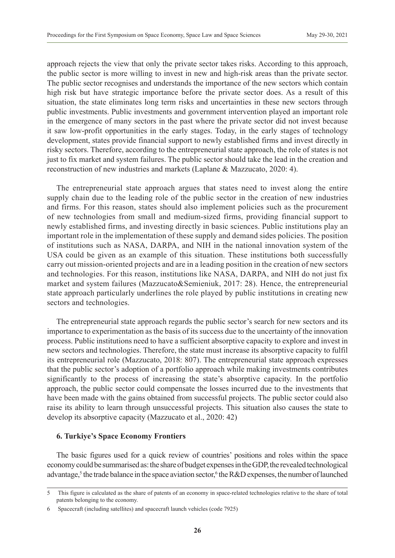approach rejects the view that only the private sector takes risks. According to this approach, the public sector is more willing to invest in new and high-risk areas than the private sector. The public sector recognises and understands the importance of the new sectors which contain high risk but have strategic importance before the private sector does. As a result of this situation, the state eliminates long term risks and uncertainties in these new sectors through public investments. Public investments and government intervention played an important role in the emergence of many sectors in the past where the private sector did not invest because it saw low-profit opportunities in the early stages. Today, in the early stages of technology development, states provide financial support to newly established firms and invest directly in risky sectors. Therefore, according to the entrepreneurial state approach, the role of states is not just to fix market and system failures. The public sector should take the lead in the creation and reconstruction of new industries and markets (Laplane & Mazzucato, 2020: 4).

The entrepreneurial state approach argues that states need to invest along the entire supply chain due to the leading role of the public sector in the creation of new industries and firms. For this reason, states should also implement policies such as the procurement of new technologies from small and medium-sized firms, providing financial support to newly established firms, and investing directly in basic sciences. Public institutions play an important role in the implementation of these supply and demand sides policies. The position of institutions such as NASA, DARPA, and NIH in the national innovation system of the USA could be given as an example of this situation. These institutions both successfully carry out mission-oriented projects and are in a leading position in the creation of new sectors and technologies. For this reason, institutions like NASA, DARPA, and NIH do not just fix market and system failures (Mazzucato&Semieniuk, 2017: 28). Hence, the entrepreneurial state approach particularly underlines the role played by public institutions in creating new sectors and technologies.

The entrepreneurial state approach regards the public sector's search for new sectors and its importance to experimentation as the basis of its success due to the uncertainty of the innovation process. Public institutions need to have a sufficient absorptive capacity to explore and invest in new sectors and technologies. Therefore, the state must increase its absorptive capacity to fulfil its entrepreneurial role (Mazzucato, 2018: 807). The entrepreneurial state approach expresses that the public sector's adoption of a portfolio approach while making investments contributes significantly to the process of increasing the state's absorptive capacity. In the portfolio approach, the public sector could compensate the losses incurred due to the investments that have been made with the gains obtained from successful projects. The public sector could also raise its ability to learn through unsuccessful projects. This situation also causes the state to develop its absorptive capacity (Mazzucato et al., 2020: 42)

#### **6. Turkiye's Space Economy Frontiers**

The basic figures used for a quick review of countries' positions and roles within the space economy could be summarised as: the share of budget expenses in the GDP, the revealed technological advantage,<sup>5</sup> the trade balance in the space aviation sector,<sup>6</sup> the R&D expenses, the number of launched

<sup>5</sup> This figure is calculated as the share of patents of an economy in space-related technologies relative to the share of total patents belonging to the economy.

<sup>6</sup> Spacecraft (including satellites) and spacecraft launch vehicles (code 7925)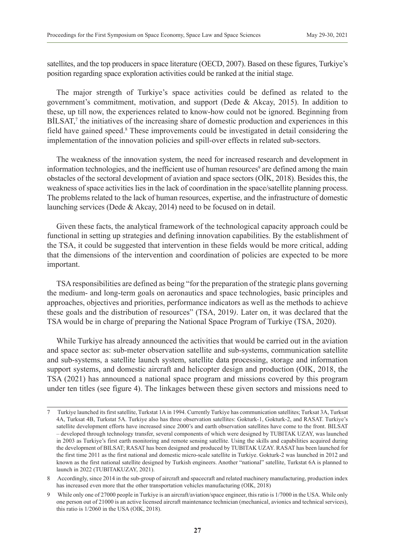satellites, and the top producers in space literature (OECD, 2007). Based on these figures, Turkiye's position regarding space exploration activities could be ranked at the initial stage.

The major strength of Turkiye's space activities could be defined as related to the government's commitment, motivation, and support (Dede & Akcay, 2015). In addition to these, up till now, the experiences related to know-how could not be ignored. Beginning from  $BILSAT$ ,<sup> $7$ </sup> the initiatives of the increasing share of domestic production and experiences in this field have gained speed.<sup>8</sup> These improvements could be investigated in detail considering the implementation of the innovation policies and spill-over effects in related sub-sectors.

The weakness of the innovation system, the need for increased research and development in information technologies, and the inefficient use of human resources<sup>9</sup> are defined among the main obstacles of the sectoral development of aviation and space sectors (OİK, 2018). Besides this, the weakness of space activities lies in the lack of coordination in the space/satellite planning process. The problems related to the lack of human resources, expertise, and the infrastructure of domestic launching services (Dede & Akcay, 2014) need to be focused on in detail.

Given these facts, the analytical framework of the technological capacity approach could be functional in setting up strategies and defining innovation capabilities. By the establishment of the TSA, it could be suggested that intervention in these fields would be more critical, adding that the dimensions of the intervention and coordination of policies are expected to be more important.

TSA responsibilities are defined as being "for the preparation of the strategic plans governing the medium- and long-term goals on aeronautics and space technologies, basic principles and approaches, objectives and priorities, performance indicators as well as the methods to achieve these goals and the distribution of resources" (TSA, 2019*)*. Later on, it was declared that the TSA would be in charge of preparing the National Space Program of Turkiye (TSA, 2020).

While Turkiye has already announced the activities that would be carried out in the aviation and space sector as: sub-meter observation satellite and sub-systems, communication satellite and sub-systems, a satellite launch system, satellite data processing, storage and information support systems, and domestic aircraft and helicopter design and production (OIK, 2018, the TSA (2021) has announced a national space program and missions covered by this program under ten titles (see figure 4). The linkages between these given sectors and missions need to

<sup>7</sup> Turkiye launched its first satellite, Turkstat 1A in 1994. Currently Turkiye has communication satellites; Turksat 3A, Turksat 4A, Turksat 4B, Turkstat 5A. Turkiye also has three observation satellites: Gokturk-1, Gokturk-2, and RASAT. Turkiye's satellite development efforts have increased since 2000's and earth observation satellites have come to the front. BILSAT – developed through technology transfer, several components of which were designed by TUBITAK UZAY, was launched in 2003 as Turkiye's first earth monitoring and remote sensing satellite. Using the skills and capabilities acquired during the development of BILSAT; RASAT has been designed and produced by TUBITAK UZAY. RASAT has been launched for the first time 2011 as the first national and domestic micro-scale satellite in Turkiye. Gokturk-2 was launched in 2012 and known as the first national satellite designed by Turkish engineers. Another "national" satellite, Turkstat 6A is planned to launch in 2022 (TUBITAKUZAY, 2021).

<sup>8</sup> Accordingly, since 2014 in the sub-group of aircraft and spacecraft and related machinery manufacturing, production index has increased even more that the other transportation vehicles manufacturing (OIK, 2018)

While only one of 27000 people in Turkiye is an aircraft/aviation/space engineer, this ratio is 1/7000 in the USA. While only one person out of 21000 is an active licensed aircraft maintenance technician (mechanical, avionics and technical services), this ratio is 1/2060 in the USA (OIK, 2018).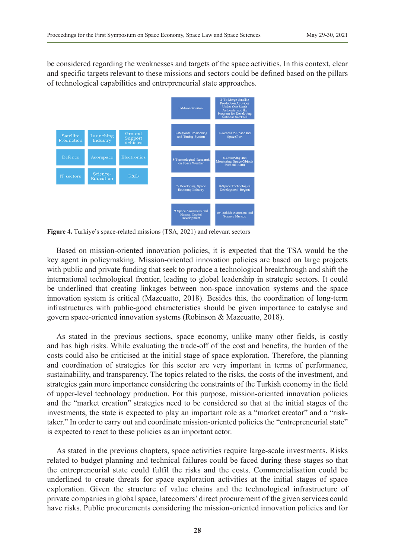be considered regarding the weaknesses and targets of the space activities. In this context, clear and specific targets relevant to these missions and sectors could be defined based on the pillars of technological capabilities and entrepreneurial state approaches.



Figure 4. Turkiye's space-related missions (TSA, 2021) and relevant sectors

Based on mission-oriented innovation policies, it is expected that the TSA would be the key agent in policymaking. Mission-oriented innovation policies are based on large projects with public and private funding that seek to produce a technological breakthrough and shift the international technological frontier, leading to global leadership in strategic sectors. It could be underlined that creating linkages between non-space innovation systems and the space innovation system is critical (Mazcuatto, 2018). Besides this, the coordination of long-term infrastructures with public-good characteristics should be given importance to catalyse and govern space-oriented innovation systems (Robinson & Mazcuatto, 2018).

As stated in the previous sections, space economy, unlike many other fields, is costly and has high risks. While evaluating the trade-off of the cost and benefits, the burden of the costs could also be criticised at the initial stage of space exploration. Therefore, the planning and coordination of strategies for this sector are very important in terms of performance, sustainability, and transparency. The topics related to the risks, the costs of the investment, and strategies gain more importance considering the constraints of the Turkish economy in the field of upper-level technology production. For this purpose, mission-oriented innovation policies and the "market creation" strategies need to be considered so that at the initial stages of the investments, the state is expected to play an important role as a "market creator" and a "risktaker." In order to carry out and coordinate mission-oriented policies the "entrepreneurial state" is expected to react to these policies as an important actor.

As stated in the previous chapters, space activities require large-scale investments. Risks related to budget planning and technical failures could be faced during these stages so that the entrepreneurial state could fulfil the risks and the costs. Commercialisation could be underlined to create threats for space exploration activities at the initial stages of space exploration. Given the structure of value chains and the technological infrastructure of private companies in global space, latecomers' direct procurement of the given services could have risks. Public procurements considering the mission-oriented innovation policies and for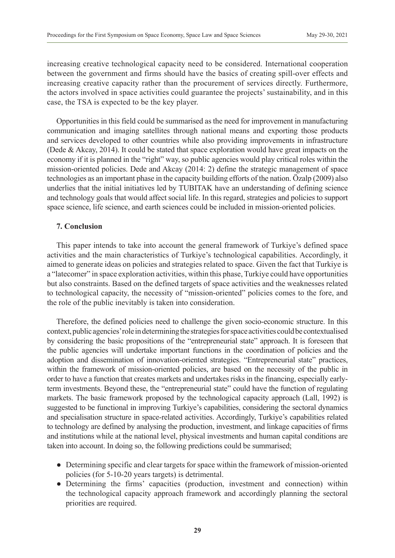increasing creative technological capacity need to be considered. International cooperation between the government and firms should have the basics of creating spill-over effects and increasing creative capacity rather than the procurement of services directly. Furthermore, the actors involved in space activities could guarantee the projects' sustainability, and in this case, the TSA is expected to be the key player.

Opportunities in this field could be summarised as the need for improvement in manufacturing communication and imaging satellites through national means and exporting those products and services developed to other countries while also providing improvements in infrastructure (Dede & Akcay, 2014). It could be stated that space exploration would have great impacts on the economy if it is planned in the "right" way, so public agencies would play critical roles within the mission-oriented policies. Dede and Akcay (2014: 2) define the strategic management of space technologies as an important phase in the capacity building efforts of the nation. Özalp (2009) also underlies that the initial initiatives led by TUBITAK have an understanding of defining science and technology goals that would affect social life. In this regard, strategies and policies to support space science, life science, and earth sciences could be included in mission-oriented policies.

# **7. Conclusion**

This paper intends to take into account the general framework of Turkiye's defined space activities and the main characteristics of Turkiye's technological capabilities. Accordingly, it aimed to generate ideas on policies and strategies related to space. Given the fact that Turkiye is a "latecomer" in space exploration activities, within this phase, Turkiye could have opportunities but also constraints. Based on the defined targets of space activities and the weaknesses related to technological capacity, the necessity of "mission-oriented" policies comes to the fore, and the role of the public inevitably is taken into consideration.

Therefore, the defined policies need to challenge the given socio-economic structure. In this context, public agencies' role in determining the strategies for space activities could be contextualised by considering the basic propositions of the "entrepreneurial state" approach. It is foreseen that the public agencies will undertake important functions in the coordination of policies and the adoption and dissemination of innovation-oriented strategies. "Entrepreneurial state" practices, within the framework of mission-oriented policies, are based on the necessity of the public in order to have a function that creates markets and undertakes risks in the financing, especially earlyterm investments. Beyond these, the "entrepreneurial state" could have the function of regulating markets. The basic framework proposed by the technological capacity approach (Lall, 1992) is suggested to be functional in improving Turkiye's capabilities, considering the sectoral dynamics and specialisation structure in space-related activities. Accordingly, Turkiye's capabilities related to technology are defined by analysing the production, investment, and linkage capacities of firms and institutions while at the national level, physical investments and human capital conditions are taken into account. In doing so, the following predictions could be summarised;

- Determining specific and clear targets for space within the framework of mission-oriented policies (for 5-10-20 years targets) is detrimental.
- Determining the firms' capacities (production, investment and connection) within the technological capacity approach framework and accordingly planning the sectoral priorities are required.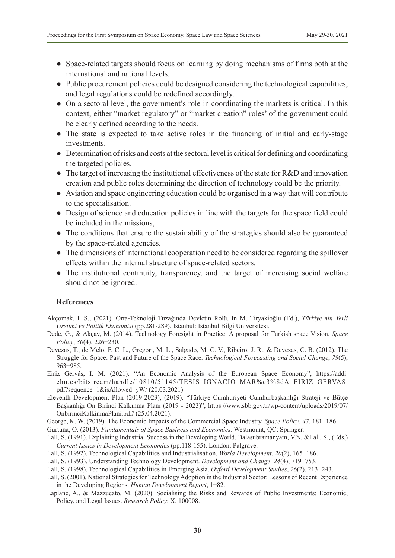- Space-related targets should focus on learning by doing mechanisms of firms both at the international and national levels.
- Public procurement policies could be designed considering the technological capabilities, and legal regulations could be redefined accordingly.
- On a sectoral level, the government's role in coordinating the markets is critical. In this context, either "market regulatory" or "market creation" roles' of the government could be clearly defined according to the needs.
- The state is expected to take active roles in the financing of initial and early-stage investments.
- Determination of risks and costs at the sectoral level is critical for defining and coordinating the targeted policies.
- The target of increasing the institutional effectiveness of the state for R&D and innovation creation and public roles determining the direction of technology could be the priority.
- Aviation and space engineering education could be organised in a way that will contribute to the specialisation.
- Design of science and education policies in line with the targets for the space field could be included in the missions,
- The conditions that ensure the sustainability of the strategies should also be guaranteed by the space-related agencies.
- The dimensions of international cooperation need to be considered regarding the spillover effects within the internal structure of space-related sectors.
- The institutional continuity, transparency, and the target of increasing social welfare should not be ignored.

# **References**

- Akçomak, İ. S., (2021). Orta-Teknoloji Tuzağında Devletin Rolü. In M. Tiryakioğlu (Ed.), *Türkiye'nin Yerli Üretimi ve Politik Ekonomisi* (pp.281-289), Istanbul: Istanbul Bilgi Üniversitesi.
- Dede, G., & Akçay, M. (2014). Technology Foresight in Practice: A proposal for Turkish space Vision. *Space Policy*, *30*(4), 226−230.
- Devezas, T., de Melo, F. C. L., Gregori, M. L., Salgado, M. C. V., Ribeiro, J. R., & Devezas, C. B. (2012). The Struggle for Space: Past and Future of the Space Race. *Technological Forecasting and Social Change*, *79*(5), 963−985.
- Eiriz Gervás, I. M. (2021). "An Economic Analysis of the European Space Economy", https://addi. ehu.es/bitstream/handle/10810/51145/TESIS\_IGNACIO\_MAR%c3%8dA\_EIRIZ\_GERVAS. pdf?sequence=1&isAllowed=yW/ (20.03.2021).
- Eleventh Development Plan (2019-2023), (2019). "Türkiye Cumhuriyeti Cumhurbaşkanlığı Strateji ve Bütçe Başkanlığı On Birinci Kalkınma Planı (2019 - 2023)", [https://www.sbb.gov.tr/wp-content/uploads/2019/07/](https://www.sbb.gov.tr/wp-content/uploads/2019/07/OnbirinciKalkinmaPlani.pdf/) [OnbirinciKalkinmaPlani.pdf/](https://www.sbb.gov.tr/wp-content/uploads/2019/07/OnbirinciKalkinmaPlani.pdf/) (25.04.2021).
- George, K. W. (2019). The Economic Impacts of the Commercial Space Industry. *Space Policy*, *47*, 181−186.
- Gurtuna, O. (2013). *Fundamentals of Space Business and Economics.* Westmount, QC: Springer.
- Lall, S. (1991). Explaining Industrial Success in the Developing World. Balasubramanyam, V.N. &Lall, S., (Eds.) *Current Issues in Development Economics* (pp.118-155). London: Palgrave.
- Lall, S. (1992). Technological Capabilities and Industrialisation. *World Development*, *20*(2), 165−186.
- Lall, S. (1993). Understanding Technology Development. *Development and Change, 24*(4), 719−753.
- Lall, S. (1998). Technological Capabilities in Emerging Asia. *Oxford Development Studies*, *26*(2), 213−243.
- Lall, S. (2001). National Strategies for Technology Adoption in the Industrial Sector: Lessons of Recent Experience in the Developing Regions. *Human Development Report*, 1−82.
- Laplane, A., & Mazzucato, M. (2020). Socialising the Risks and Rewards of Public Investments: Economic, Policy, and Legal Issues. *Research Policy*: X, 100008.